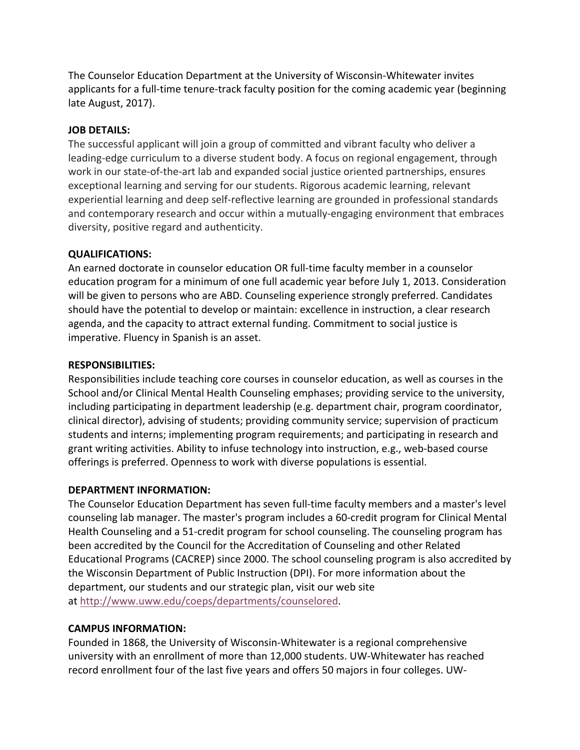The Counselor Education Department at the University of Wisconsin-Whitewater invites applicants for a full-time tenure-track faculty position for the coming academic year (beginning late August, 2017).

## **JOB DETAILS:**

The successful applicant will join a group of committed and vibrant faculty who deliver a leading-edge curriculum to a diverse student body. A focus on regional engagement, through work in our state-of-the-art lab and expanded social justice oriented partnerships, ensures exceptional learning and serving for our students. Rigorous academic learning, relevant experiential learning and deep self-reflective learning are grounded in professional standards and contemporary research and occur within a mutually-engaging environment that embraces diversity, positive regard and authenticity.

# **QUALIFICATIONS:**

An earned doctorate in counselor education OR full-time faculty member in a counselor education program for a minimum of one full academic year before July 1, 2013. Consideration will be given to persons who are ABD. Counseling experience strongly preferred. Candidates should have the potential to develop or maintain: excellence in instruction, a clear research agenda, and the capacity to attract external funding. Commitment to social justice is imperative. Fluency in Spanish is an asset.

## **RESPONSIBILITIES:**

Responsibilities include teaching core courses in counselor education, as well as courses in the School and/or Clinical Mental Health Counseling emphases; providing service to the university, including participating in department leadership (e.g. department chair, program coordinator, clinical director), advising of students; providing community service; supervision of practicum students and interns; implementing program requirements; and participating in research and grant writing activities. Ability to infuse technology into instruction, e.g., web-based course offerings is preferred. Openness to work with diverse populations is essential.

## **DEPARTMENT INFORMATION:**

The Counselor Education Department has seven full-time faculty members and a master's level counseling lab manager. The master's program includes a 60-credit program for Clinical Mental Health Counseling and a 51-credit program for school counseling. The counseling program has been accredited by the Council for the Accreditation of Counseling and other Related Educational Programs (CACREP) since 2000. The school counseling program is also accredited by the Wisconsin Department of Public Instruction (DPI). For more information about the department, our students and our strategic plan, visit our web site at http://www.uww.edu/coeps/departments/counselored.

## **CAMPUS INFORMATION:**

Founded in 1868, the University of Wisconsin-Whitewater is a regional comprehensive university with an enrollment of more than 12,000 students. UW-Whitewater has reached record enrollment four of the last five years and offers 50 majors in four colleges. UW-